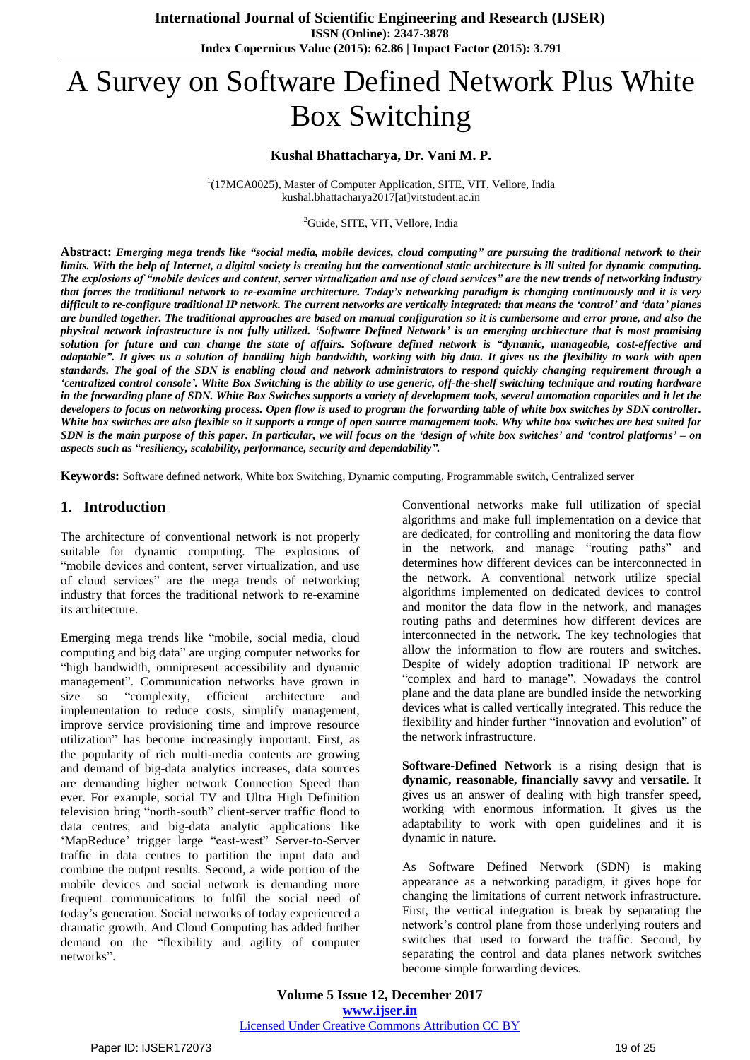# A Survey on Software Defined Network Plus White Box Switching

#### **Kushal Bhattacharya, Dr. Vani M. P.**

<sup>1</sup>(17MCA0025), Master of Computer Application, SITE, VIT, Vellore, India kushal.bhattacharya2017[at]vitstudent.ac.in

#### <sup>2</sup>Guide, SITE, VIT, Vellore, India

Abstract: Emerging mega trends like "social media, mobile devices, cloud computing" are pursuing the traditional network to their limits. With the help of Internet, a digital society is creating but the conventional static architecture is ill suited for dynamic computing. *The explosions of "mobile devices and content, server virtualization and use of cloud services" are the new trends of networking industry* that forces the traditional network to re-examine architecture. Today's networking paradigm is changing continuously and it is very difficult to re-configure traditional IP network. The current networks are vertically integrated: that means the 'control' and 'data' planes are bundled together. The traditional approaches are based on manual configuration so it is cumbersome and error prone, and also the physical network infrastructure is not fully utilized. 'Software Defined Network' is an emerging architecture that is most promising solution for future and can change the state of affairs. Software defined network is "dynamic, manageable, cost-effective and adaptable". It gives us a solution of handling high bandwidth, working with big data. It gives us the flexibility to work with open standards. The goal of the SDN is enabling cloud and network administrators to respond quickly changing requirement through a 'centralized control console'. White Box Switching is the ability to use generic, off-the-shelf switching technique and routing hardware in the forwarding plane of SDN. White Box Switches supports a variety of development tools, several automation capacities and it let the developers to focus on networking process. Open flow is used to program the forwarding table of white box switches by SDN controller. White box switches are also flexible so it supports a range of open source management tools. Why white box switches are best suited for SDN is the main purpose of this paper. In particular, we will focus on the 'design of white box switches' and 'control platforms' – on *aspects such as "resiliency, scalability, performance, security and dependability".*

**Keywords:** Software defined network, White box Switching, Dynamic computing, Programmable switch, Centralized server

#### **1. Introduction**

The architecture of conventional network is not properly suitable for dynamic computing. The explosions of "mobile devices and content, server virtualization, and use of cloud services" are the mega trends of networking industry that forces the traditional network to re-examine its architecture.

Emerging mega trends like "mobile, social media, cloud computing and big data" are urging computer networks for "high bandwidth, omnipresent accessibility and dynamic management". Communication networks have grown in size so "complexity, efficient architecture and implementation to reduce costs, simplify management, improve service provisioning time and improve resource utilization" has become increasingly important. First, as the popularity of rich multi-media contents are growing and demand of big-data analytics increases, data sources are demanding higher network Connection Speed than ever. For example, social TV and Ultra High Definition television bring "north-south" client-server traffic flood to data centres, and big-data analytic applications like 'MapReduce' trigger large "east-west" Server-to-Server traffic in data centres to partition the input data and combine the output results. Second, a wide portion of the mobile devices and social network is demanding more frequent communications to fulfil the social need of today"s generation. Social networks of today experienced a dramatic growth. And Cloud Computing has added further demand on the "flexibility and agility of computer networks".

Conventional networks make full utilization of special algorithms and make full implementation on a device that are dedicated, for controlling and monitoring the data flow in the network, and manage "routing paths" and determines how different devices can be interconnected in the network. A conventional network utilize special algorithms implemented on dedicated devices to control and monitor the data flow in the network, and manages routing paths and determines how different devices are interconnected in the network. The key technologies that allow the information to flow are routers and switches. Despite of widely adoption traditional IP network are "complex and hard to manage". Nowadays the control plane and the data plane are bundled inside the networking devices what is called vertically integrated. This reduce the flexibility and hinder further "innovation and evolution" of the network infrastructure.

**Software-Defined Network** is a rising design that is **dynamic, reasonable, financially savvy** and **versatile**. It gives us an answer of dealing with high transfer speed, working with enormous information. It gives us the adaptability to work with open guidelines and it is dynamic in nature.

As Software Defined Network (SDN) is making appearance as a networking paradigm, it gives hope for changing the limitations of current network infrastructure. First, the vertical integration is break by separating the network"s control plane from those underlying routers and switches that used to forward the traffic. Second, by separating the control and data planes network switches become simple forwarding devices.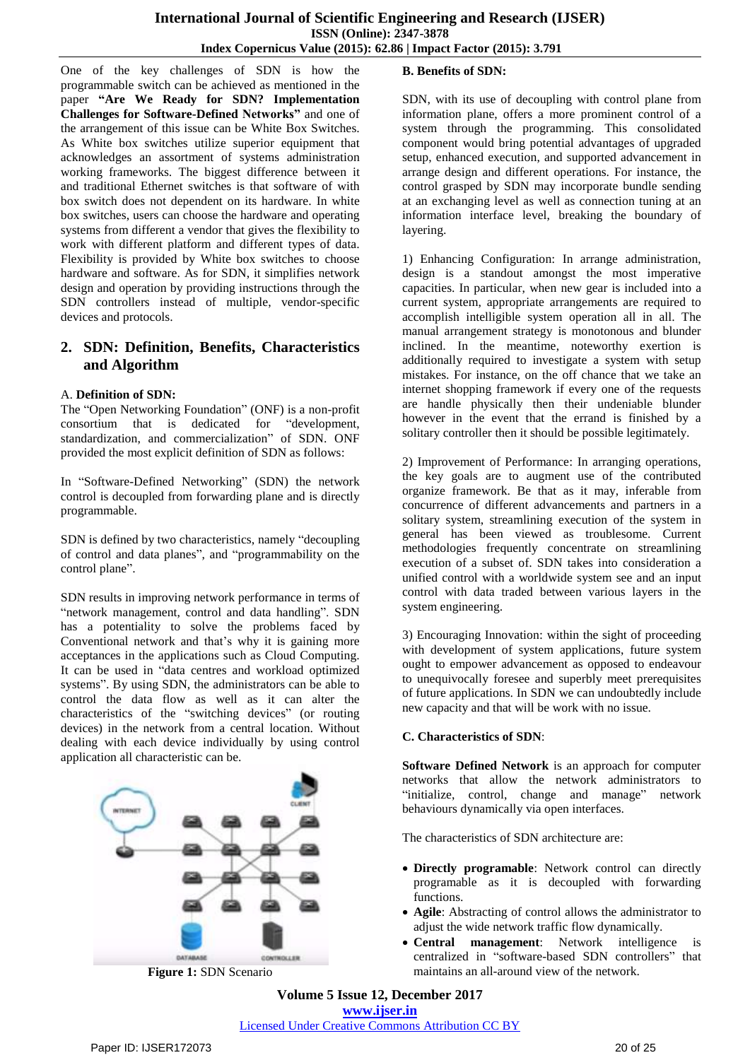One of the key challenges of SDN is how the programmable switch can be achieved as mentioned in the paper **"Are We Ready for SDN? Implementation Challenges for Software-Defined Networks"** and one of the arrangement of this issue can be White Box Switches. As White box switches utilize superior equipment that acknowledges an assortment of systems administration working frameworks. The biggest difference between it and traditional Ethernet switches is that software of with box switch does not dependent on its hardware. In white box switches, users can choose the hardware and operating systems from different a vendor that gives the flexibility to work with different platform and different types of data. Flexibility is provided by White box switches to choose hardware and software. As for SDN, it simplifies network design and operation by providing instructions through the SDN controllers instead of multiple, vendor-specific devices and protocols.

# **2. SDN: Definition, Benefits, Characteristics and Algorithm**

#### A. **Definition of SDN:**

The "Open Networking Foundation" (ONF) is a non-profit consortium that is dedicated for "development, standardization, and commercialization" of SDN. ONF provided the most explicit definition of SDN as follows:

In "Software-Defined Networking" (SDN) the network control is decoupled from forwarding plane and is directly programmable.

SDN is defined by two characteristics, namely "decoupling of control and data planes", and "programmability on the control plane".

SDN results in improving network performance in terms of "network management, control and data handling". SDN has a potentiality to solve the problems faced by Conventional network and that"s why it is gaining more acceptances in the applications such as Cloud Computing. It can be used in "data centres and workload optimized systems". By using SDN, the administrators can be able to control the data flow as well as it can alter the characteristics of the "switching devices" (or routing devices) in the network from a central location. Without dealing with each device individually by using control application all characteristic can be.



**Figure 1:** SDN Scenario

## **B. Benefits of SDN:**

SDN, with its use of decoupling with control plane from information plane, offers a more prominent control of a system through the programming. This consolidated component would bring potential advantages of upgraded setup, enhanced execution, and supported advancement in arrange design and different operations. For instance, the control grasped by SDN may incorporate bundle sending at an exchanging level as well as connection tuning at an information interface level, breaking the boundary of layering.

1) Enhancing Configuration: In arrange administration, design is a standout amongst the most imperative capacities. In particular, when new gear is included into a current system, appropriate arrangements are required to accomplish intelligible system operation all in all. The manual arrangement strategy is monotonous and blunder inclined. In the meantime, noteworthy exertion is additionally required to investigate a system with setup mistakes. For instance, on the off chance that we take an internet shopping framework if every one of the requests are handle physically then their undeniable blunder however in the event that the errand is finished by a solitary controller then it should be possible legitimately.

2) Improvement of Performance: In arranging operations, the key goals are to augment use of the contributed organize framework. Be that as it may, inferable from concurrence of different advancements and partners in a solitary system, streamlining execution of the system in general has been viewed as troublesome. Current methodologies frequently concentrate on streamlining execution of a subset of. SDN takes into consideration a unified control with a worldwide system see and an input control with data traded between various layers in the system engineering.

3) Encouraging Innovation: within the sight of proceeding with development of system applications, future system ought to empower advancement as opposed to endeavour to unequivocally foresee and superbly meet prerequisites of future applications. In SDN we can undoubtedly include new capacity and that will be work with no issue.

## **C. Characteristics of SDN**:

**Software Defined Network** is an approach for computer networks that allow the network administrators to "initialize, control, change and manage" network behaviours dynamically via open interfaces.

The characteristics of SDN architecture are:

- **Directly programable**: Network control can directly programable as it is decoupled with forwarding functions.
- **Agile**: Abstracting of control allows the administrator to adjust the wide network traffic flow dynamically.
- **Central management**: Network intelligence is centralized in "software-based SDN controllers" that maintains an all-around view of the network.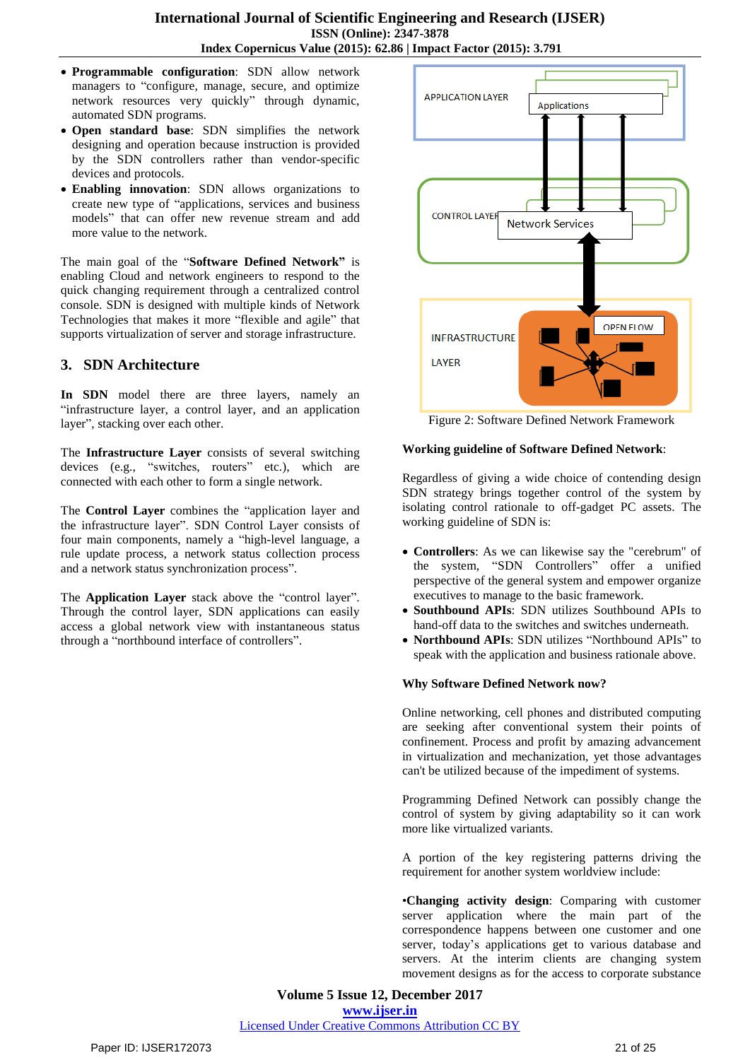- **Programmable configuration**: SDN allow network managers to "configure, manage, secure, and optimize network resources very quickly" through dynamic, automated SDN programs.
- **Open standard base**: SDN simplifies the network designing and operation because instruction is provided by the SDN controllers rather than vendor-specific devices and protocols.
- **Enabling innovation**: SDN allows organizations to create new type of "applications, services and business models" that can offer new revenue stream and add more value to the network.

The main goal of the "**Software Defined Network"** is enabling Cloud and network engineers to respond to the quick changing requirement through a centralized control console. SDN is designed with multiple kinds of Network Technologies that makes it more "flexible and agile" that supports virtualization of server and storage infrastructure.

## **3. SDN Architecture**

**In SDN** model there are three layers, namely an "infrastructure layer, a control layer, and an application layer", stacking over each other.

The **Infrastructure Layer** consists of several switching devices (e.g., "switches, routers" etc.), which are connected with each other to form a single network.

The **Control Layer** combines the "application layer and the infrastructure layer". SDN Control Layer consists of four main components, namely a "high-level language, a rule update process, a network status collection process and a network status synchronization process".

The **Application Layer** stack above the "control layer". Through the control layer, SDN applications can easily access a global network view with instantaneous status through a "northbound interface of controllers".



Figure 2: Software Defined Network Framework

#### **Working guideline of Software Defined Network**:

Regardless of giving a wide choice of contending design SDN strategy brings together control of the system by isolating control rationale to off-gadget PC assets. The working guideline of SDN is:

- **Controllers**: As we can likewise say the "cerebrum" of the system, "SDN Controllers" offer a unified perspective of the general system and empower organize executives to manage to the basic framework.
- **Southbound APIs**: SDN utilizes Southbound APIs to hand-off data to the switches and switches underneath.
- **Northbound APIs**: SDN utilizes "Northbound APIs" to speak with the application and business rationale above.

## **Why Software Defined Network now?**

Online networking, cell phones and distributed computing are seeking after conventional system their points of confinement. Process and profit by amazing advancement in virtualization and mechanization, yet those advantages can't be utilized because of the impediment of systems.

Programming Defined Network can possibly change the control of system by giving adaptability so it can work more like virtualized variants.

A portion of the key registering patterns driving the requirement for another system worldview include:

•**Changing activity design**: Comparing with customer server application where the main part of the correspondence happens between one customer and one server, today"s applications get to various database and servers. At the interim clients are changing system movement designs as for the access to corporate substance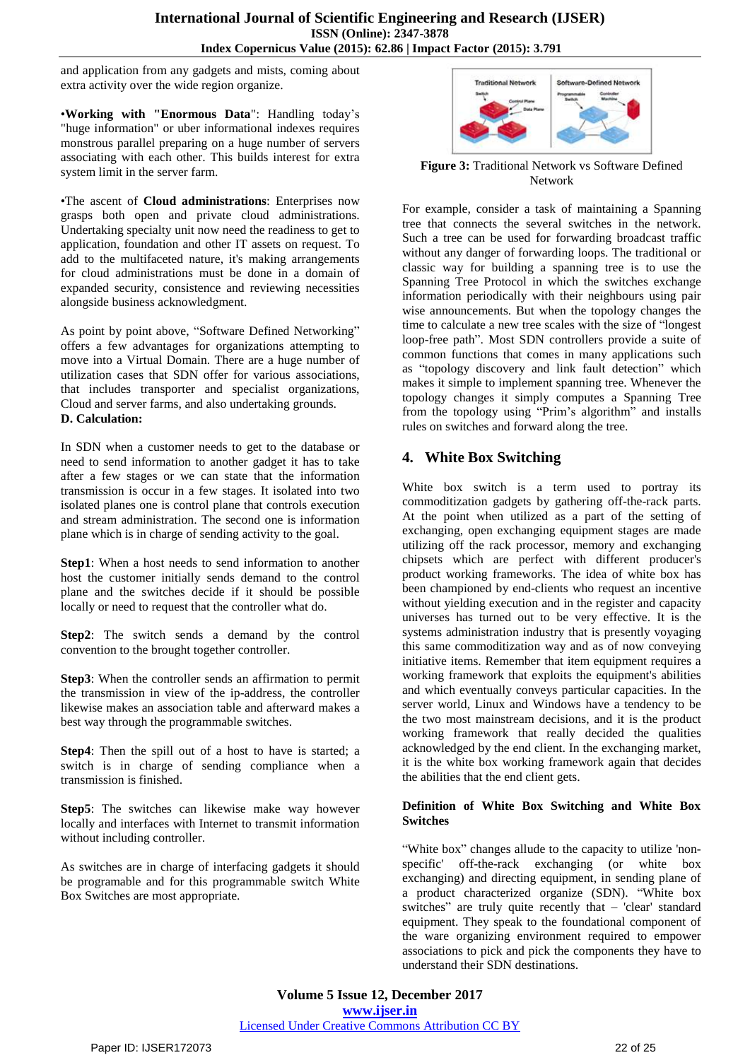and application from any gadgets and mists, coming about extra activity over the wide region organize.

•**Working with "Enormous Data**": Handling today"s "huge information" or uber informational indexes requires monstrous parallel preparing on a huge number of servers associating with each other. This builds interest for extra system limit in the server farm.

•The ascent of **Cloud administrations**: Enterprises now grasps both open and private cloud administrations. Undertaking specialty unit now need the readiness to get to application, foundation and other IT assets on request. To add to the multifaceted nature, it's making arrangements for cloud administrations must be done in a domain of expanded security, consistence and reviewing necessities alongside business acknowledgment.

As point by point above, "Software Defined Networking" offers a few advantages for organizations attempting to move into a Virtual Domain. There are a huge number of utilization cases that SDN offer for various associations, that includes transporter and specialist organizations, Cloud and server farms, and also undertaking grounds. **D. Calculation:**

In SDN when a customer needs to get to the database or need to send information to another gadget it has to take after a few stages or we can state that the information transmission is occur in a few stages. It isolated into two isolated planes one is control plane that controls execution and stream administration. The second one is information plane which is in charge of sending activity to the goal.

**Step1**: When a host needs to send information to another host the customer initially sends demand to the control plane and the switches decide if it should be possible locally or need to request that the controller what do.

**Step2**: The switch sends a demand by the control convention to the brought together controller.

**Step3**: When the controller sends an affirmation to permit the transmission in view of the ip-address, the controller likewise makes an association table and afterward makes a best way through the programmable switches.

**Step4**: Then the spill out of a host to have is started; a switch is in charge of sending compliance when a transmission is finished.

**Step5**: The switches can likewise make way however locally and interfaces with Internet to transmit information without including controller.

As switches are in charge of interfacing gadgets it should be programable and for this programmable switch White Box Switches are most appropriate.



**Figure 3:** Traditional Network vs Software Defined Network

For example, consider a task of maintaining a Spanning tree that connects the several switches in the network. Such a tree can be used for forwarding broadcast traffic without any danger of forwarding loops. The traditional or classic way for building a spanning tree is to use the Spanning Tree Protocol in which the switches exchange information periodically with their neighbours using pair wise announcements. But when the topology changes the time to calculate a new tree scales with the size of "longest loop-free path". Most SDN controllers provide a suite of common functions that comes in many applications such as "topology discovery and link fault detection" which makes it simple to implement spanning tree. Whenever the topology changes it simply computes a Spanning Tree from the topology using "Prim"s algorithm" and installs rules on switches and forward along the tree.

# **4. White Box Switching**

White box switch is a term used to portray its commoditization gadgets by gathering off-the-rack parts. At the point when utilized as a part of the setting of exchanging, open exchanging equipment stages are made utilizing off the rack processor, memory and exchanging chipsets which are perfect with different producer's product working frameworks. The idea of white box has been championed by end-clients who request an incentive without yielding execution and in the register and capacity universes has turned out to be very effective. It is the systems administration industry that is presently voyaging this same commoditization way and as of now conveying initiative items. Remember that item equipment requires a working framework that exploits the equipment's abilities and which eventually conveys particular capacities. In the server world, Linux and Windows have a tendency to be the two most mainstream decisions, and it is the product working framework that really decided the qualities acknowledged by the end client. In the exchanging market, it is the white box working framework again that decides the abilities that the end client gets.

#### **Definition of White Box Switching and White Box Switches**

"White box" changes allude to the capacity to utilize 'nonspecific' off-the-rack exchanging (or white box exchanging) and directing equipment, in sending plane of a product characterized organize (SDN). "White box switches" are truly quite recently that – 'clear' standard equipment. They speak to the foundational component of the ware organizing environment required to empower associations to pick and pick the components they have to understand their SDN destinations.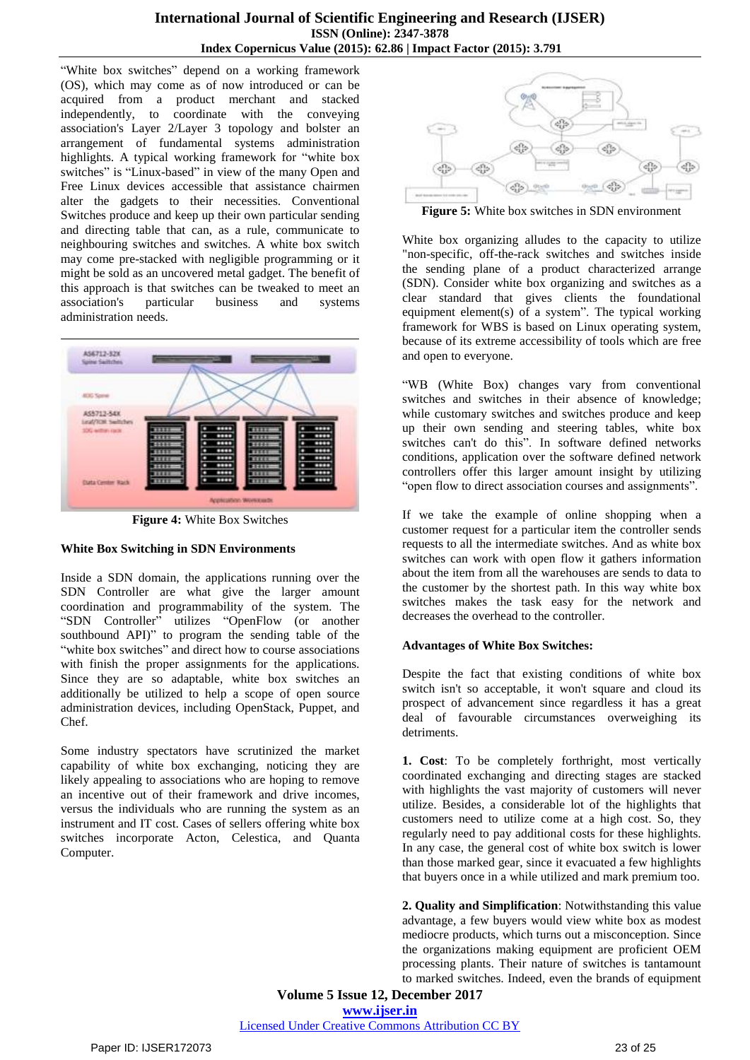"White box switches" depend on a working framework (OS), which may come as of now introduced or can be acquired from a product merchant and stacked independently, to coordinate with the conveying association's Layer 2/Layer 3 topology and bolster an arrangement of fundamental systems administration highlights. A typical working framework for "white box switches" is "Linux-based" in view of the many Open and Free Linux devices accessible that assistance chairmen alter the gadgets to their necessities. Conventional Switches produce and keep up their own particular sending and directing table that can, as a rule, communicate to neighbouring switches and switches. A white box switch may come pre-stacked with negligible programming or it might be sold as an uncovered metal gadget. The benefit of this approach is that switches can be tweaked to meet an association's particular business and systems administration needs.



**Figure 4:** White Box Switches

## **White Box Switching in SDN Environments**

Inside a SDN domain, the applications running over the SDN Controller are what give the larger amount coordination and programmability of the system. The "SDN Controller" utilizes "OpenFlow (or another southbound API)" to program the sending table of the "white box switches" and direct how to course associations with finish the proper assignments for the applications. Since they are so adaptable, white box switches an additionally be utilized to help a scope of open source administration devices, including OpenStack, Puppet, and Chef.

Some industry spectators have scrutinized the market capability of white box exchanging, noticing they are likely appealing to associations who are hoping to remove an incentive out of their framework and drive incomes, versus the individuals who are running the system as an instrument and IT cost. Cases of sellers offering white box switches incorporate Acton, Celestica, and Quanta Computer.



**Figure 5:** White box switches in SDN environment

White box organizing alludes to the capacity to utilize "non-specific, off-the-rack switches and switches inside the sending plane of a product characterized arrange (SDN). Consider white box organizing and switches as a clear standard that gives clients the foundational equipment element(s) of a system". The typical working framework for WBS is based on Linux operating system, because of its extreme accessibility of tools which are free and open to everyone.

"WB (White Box) changes vary from conventional switches and switches in their absence of knowledge; while customary switches and switches produce and keep up their own sending and steering tables, white box switches can't do this". In software defined networks conditions, application over the software defined network controllers offer this larger amount insight by utilizing "open flow to direct association courses and assignments".

If we take the example of online shopping when a customer request for a particular item the controller sends requests to all the intermediate switches. And as white box switches can work with open flow it gathers information about the item from all the warehouses are sends to data to the customer by the shortest path. In this way white box switches makes the task easy for the network and decreases the overhead to the controller.

## **Advantages of White Box Switches:**

Despite the fact that existing conditions of white box switch isn't so acceptable, it won't square and cloud its prospect of advancement since regardless it has a great deal of favourable circumstances overweighing its detriments.

**1. Cost**: To be completely forthright, most vertically coordinated exchanging and directing stages are stacked with highlights the vast majority of customers will never utilize. Besides, a considerable lot of the highlights that customers need to utilize come at a high cost. So, they regularly need to pay additional costs for these highlights. In any case, the general cost of white box switch is lower than those marked gear, since it evacuated a few highlights that buyers once in a while utilized and mark premium too.

**2. Quality and Simplification**: Notwithstanding this value advantage, a few buyers would view white box as modest mediocre products, which turns out a misconception. Since the organizations making equipment are proficient OEM processing plants. Their nature of switches is tantamount to marked switches. Indeed, even the brands of equipment

**Volume 5 Issue 12, December 2017 <www.ijser.in>**

[Licensed Under Creative Commons Attribution CC BY](http://creativecommons.org/licenses/by/4.0/)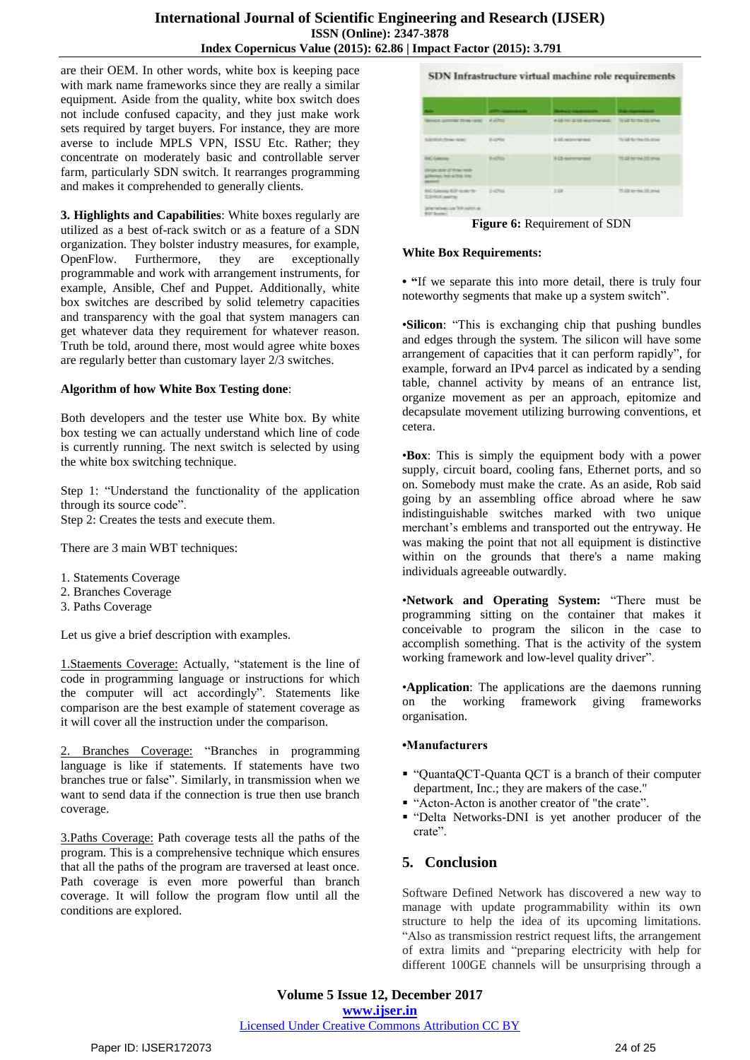are their OEM. In other words, white box is keeping pace with mark name frameworks since they are really a similar equipment. Aside from the quality, white box switch does not include confused capacity, and they just make work sets required by target buyers. For instance, they are more averse to include MPLS VPN, ISSU Etc. Rather; they concentrate on moderately basic and controllable server farm, particularly SDN switch. It rearranges programming and makes it comprehended to generally clients.

**3. Highlights and Capabilities**: White boxes regularly are utilized as a best of-rack switch or as a feature of a SDN organization. They bolster industry measures, for example, OpenFlow. Furthermore, they are exceptionally programmable and work with arrangement instruments, for example, Ansible, Chef and Puppet. Additionally, white box switches are described by solid telemetry capacities and transparency with the goal that system managers can get whatever data they requirement for whatever reason. Truth be told, around there, most would agree white boxes are regularly better than customary layer 2/3 switches.

#### **Algorithm of how White Box Testing done**:

Both developers and the tester use White box. By white box testing we can actually understand which line of code is currently running. The next switch is selected by using the white box switching technique.

Step 1: "Understand the functionality of the application through its source code". Step 2: Creates the tests and execute them.

There are 3 main WBT techniques:

- 1. Statements Coverage
- 2. Branches Coverage
- 3. Paths Coverage

Let us give a brief description with examples.

1.Staements Coverage: Actually, "statement is the line of code in programming language or instructions for which the computer will act accordingly". Statements like comparison are the best example of statement coverage as it will cover all the instruction under the comparison.

2. Branches Coverage: "Branches in programming language is like if statements. If statements have two branches true or false". Similarly, in transmission when we want to send data if the connection is true then use branch coverage.

3.Paths Coverage: Path coverage tests all the paths of the program. This is a comprehensive technique which ensures that all the paths of the program are traversed at least once. Path coverage is even more powerful than branch coverage. It will follow the program flow until all the conditions are explored.

SDN Infrastructure virtual machine role requirements

| wines jurrous tree land 4 street                                                      |           | wild no drift economists. If it is formalls and |                           |
|---------------------------------------------------------------------------------------|-----------|-------------------------------------------------|---------------------------|
| <b>SERGE TOWNER</b>                                                                   | Editor    | 3.10 wantered.                                  | to internacio any         |
| <b>HAC GARNING</b><br>TRUN 2010 ST TV W 1920<br><b>ANNOUNCE THE 475 &amp; STEE</b>    | B of Pale | If (2) money and                                | 70.00 for the 25 area.    |
| <b>BEGINNER HAVE: 1-0%</b><br>TLEMCK painting<br>Sterators on 30 notes at<br>RP form: |           | $-348$                                          | 70 LB Arrival (4) private |

**Figure 6:** Requirement of SDN

#### **White Box Requirements:**

**• "**If we separate this into more detail, there is truly four noteworthy segments that make up a system switch".

•**Silicon**: "This is exchanging chip that pushing bundles and edges through the system. The silicon will have some arrangement of capacities that it can perform rapidly", for example, forward an IPv4 parcel as indicated by a sending table, channel activity by means of an entrance list, organize movement as per an approach, epitomize and decapsulate movement utilizing burrowing conventions, et cetera.

•**Box**: This is simply the equipment body with a power supply, circuit board, cooling fans, Ethernet ports, and so on. Somebody must make the crate. As an aside, Rob said going by an assembling office abroad where he saw indistinguishable switches marked with two unique merchant's emblems and transported out the entryway. He was making the point that not all equipment is distinctive within on the grounds that there's a name making individuals agreeable outwardly.

•**Network and Operating System:** "There must be programming sitting on the container that makes it conceivable to program the silicon in the case to accomplish something. That is the activity of the system working framework and low-level quality driver".

•**Application**: The applications are the daemons running on the working framework giving frameworks organisation.

#### **•Manufacturers**

- "QuantaQCT-Quanta QCT is a branch of their computer department, Inc.; they are makers of the case."
- "Acton-Acton is another creator of "the crate".
- "Delta Networks-DNI is yet another producer of the crate".

## **5. Conclusion**

Software Defined Network has discovered a new way to manage with update programmability within its own structure to help the idea of its upcoming limitations. "Also as transmission restrict request lifts, the arrangement of extra limits and "preparing electricity with help for different 100GE channels will be unsurprising through a